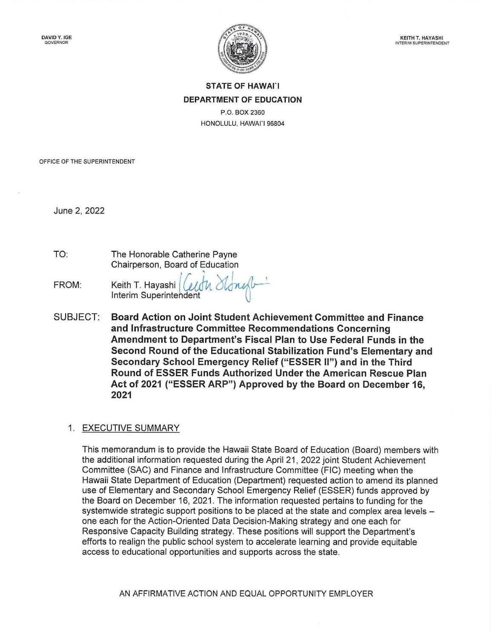

## **STATE OF HAWAl'I DEPARTMENT OF EDUCATION**

P.O. BOX 2360 HONOLULU, HAWAl'I 96804

OFFICE OF THE SUPERINTENDENT

June 2, 2022

TO: The Honorable Catherine Payne Chairperson, Board of Education

I ' , I FROM: Keith T. Hayashi { Cudv" 6to~u· Interim Superintendent

SUBJECT: **Board Action on Joint Student Achievement Committee and Finance and Infrastructure Committee Recommendations Concerning Amendment to Department's Fiscal Plan to Use Federal Funds in the Second Round of the Educational Stabilization Fund's Elementary and Secondary School Emergency Relief ("ESSER 11") and in the Third Round of ESSER Funds Authorized Under the American Rescue Plan Act of 2021 ("ESSER ARP") Approved by the Board on December 16, 2021** 

#### 1. EXECUTIVE SUMMARY

This memorandum is to provide the Hawaii State Board of Education (Board) members with the additional information requested during the April 21 , 2022 joint Student Achievement Committee (SAC) and Finance and Infrastructure Committee (FIC) meeting when the Hawaii State Department of Education (Department) requested action to amend its planned use of Elementary and Secondary School Emergency Relief (ESSER) funds approved by the Board on December 16, 2021 . The information requested pertains to funding for the systemwide strategic support positions to be placed at the state and complex area levels one each for the Action-Oriented Data Decision-Making strategy and one each for Responsive Capacity Building strategy. These positions will support the Department's efforts to realign the public school system to accelerate learning and provide equitable access to educational opportunities and supports across the state.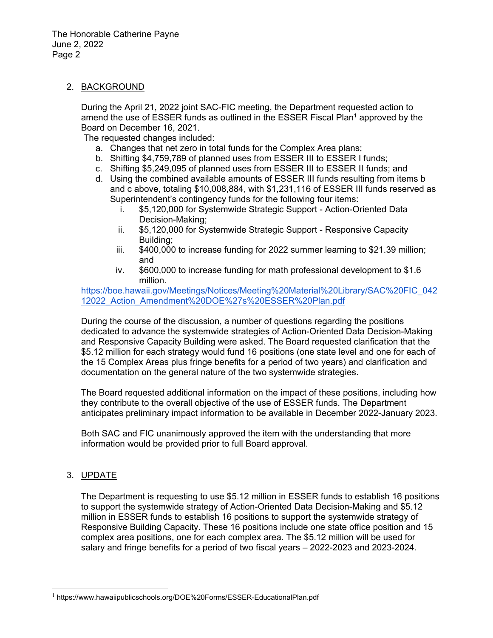#### 2. BACKGROUND

During the April 21, 2022 joint SAC-FIC meeting, the Department requested action to amend the use of ESSER funds as outlined in the ESSER Fiscal Plan<sup>1</sup> approved by the Board on December 16, 2021.

The requested changes included:

- a. Changes that net zero in total funds for the Complex Area plans;
- b. Shifting \$4,759,789 of planned uses from ESSER III to ESSER I funds;
- c. Shifting \$5,249,095 of planned uses from ESSER III to ESSER II funds; and
- d. Using the combined available amounts of ESSER III funds resulting from items b and c above, totaling \$10,008,884, with \$1,231,116 of ESSER III funds reserved as Superintendent's contingency funds for the following four items:
	- i. \$5,120,000 for Systemwide Strategic Support Action-Oriented Data Decision-Making;
	- ii. \$5,120,000 for Systemwide Strategic Support Responsive Capacity Building;
	- iii. \$400,000 to increase funding for 2022 summer learning to \$21.39 million; and
	- iv. \$600,000 to increase funding for math professional development to \$1.6 million.

[https://boe.hawaii.gov/Meetings/Notices/Meeting%20Material%20Library/SAC%20FIC\\_042](https://boe.hawaii.gov/Meetings/Notices/Meeting%20Material%20Library/SAC%20FIC_04212022_Action_Amendment%20DOE%27s%20ESSER%20Plan.pdf) 12022\_Action\_Amendment%20DOE%27s%20ESSER%20Plan.pdf

During the course of the discussion, a number of questions regarding the positions dedicated to advance the systemwide strategies of Action-Oriented Data Decision-Making and Responsive Capacity Building were asked. The Board requested clarification that the \$5.12 million for each strategy would fund 16 positions (one state level and one for each of the 15 Complex Areas plus fringe benefits for a period of two years) and clarification and documentation on the general nature of the two systemwide strategies.

The Board requested additional information on the impact of these positions, including how they contribute to the overall objective of the use of ESSER funds. The Department anticipates preliminary impact information to be available in December 2022-January 2023.

Both SAC and FIC unanimously approved the item with the understanding that more information would be provided prior to full Board approval.

#### 3. UPDATE

The Department is requesting to use \$5.12 million in ESSER funds to establish 16 positions to support the systemwide strategy of Action-Oriented Data Decision-Making and \$5.12 million in ESSER funds to establish 16 positions to support the systemwide strategy of Responsive Building Capacity. These 16 positions include one state office position and 15 complex area positions, one for each complex area. The \$5.12 million will be used for salary and fringe benefits for a period of two fiscal years – 2022-2023 and 2023-2024.

<sup>&</sup>lt;sup>1</sup> https://www.hawaiipublicschools.org/DOE%20Forms/ESSER-EducationalPlan.pdf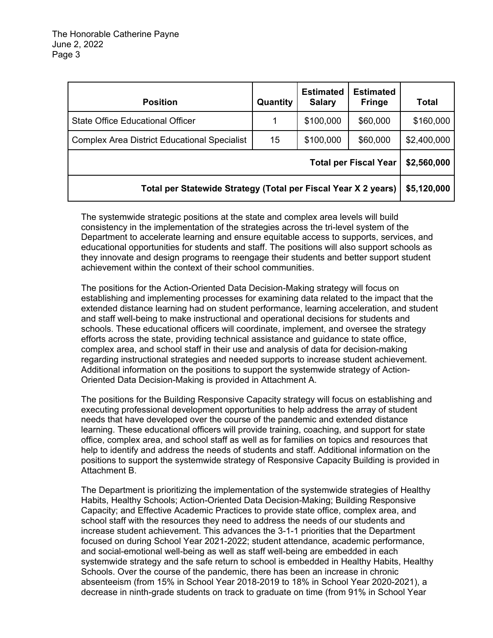| <b>Position</b>                                                | Quantity | <b>Estimated</b><br><b>Salary</b> | <b>Estimated</b><br><b>Fringe</b> | <b>Total</b> |
|----------------------------------------------------------------|----------|-----------------------------------|-----------------------------------|--------------|
| State Office Educational Officer                               | 1        | \$100,000                         | \$60,000                          | \$160,000    |
| <b>Complex Area District Educational Specialist</b>            | 15       | \$100,000                         | \$60,000                          | \$2,400,000  |
| <b>Total per Fiscal Year</b>                                   |          |                                   |                                   |              |
| Total per Statewide Strategy (Total per Fiscal Year X 2 years) |          |                                   |                                   |              |

The systemwide strategic positions at the state and complex area levels will build consistency in the implementation of the strategies across the tri-level system of the Department to accelerate learning and ensure equitable access to supports, services, and educational opportunities for students and staff. The positions will also support schools as they innovate and design programs to reengage their students and better support student achievement within the context of their school communities.

The positions for the Action-Oriented Data Decision-Making strategy will focus on establishing and implementing processes for examining data related to the impact that the extended distance learning had on student performance, learning acceleration, and student and staff well-being to make instructional and operational decisions for students and schools. These educational officers will coordinate, implement, and oversee the strategy efforts across the state, providing technical assistance and guidance to state office, complex area, and school staff in their use and analysis of data for decision-making regarding instructional strategies and needed supports to increase student achievement. Additional information on the positions to support the systemwide strategy of Action-Oriented Data Decision-Making is provided in Attachment A.

The positions for the Building Responsive Capacity strategy will focus on establishing and executing professional development opportunities to help address the array of student needs that have developed over the course of the pandemic and extended distance learning. These educational officers will provide training, coaching, and support for state office, complex area, and school staff as well as for families on topics and resources that help to identify and address the needs of students and staff. Additional information on the positions to support the systemwide strategy of Responsive Capacity Building is provided in Attachment B.

The Department is prioritizing the implementation of the systemwide strategies of Healthy Habits, Healthy Schools; Action-Oriented Data Decision-Making; Building Responsive Capacity; and Effective Academic Practices to provide state office, complex area, and school staff with the resources they need to address the needs of our students and increase student achievement. This advances the 3-1-1 priorities that the Department focused on during School Year 2021-2022; student attendance, academic performance, and social-emotional well-being as well as staff well-being are embedded in each systemwide strategy and the safe return to school is embedded in Healthy Habits, Healthy Schools. Over the course of the pandemic, there has been an increase in chronic absenteeism (from 15% in School Year 2018-2019 to 18% in School Year 2020-2021), a decrease in ninth-grade students on track to graduate on time (from 91% in School Year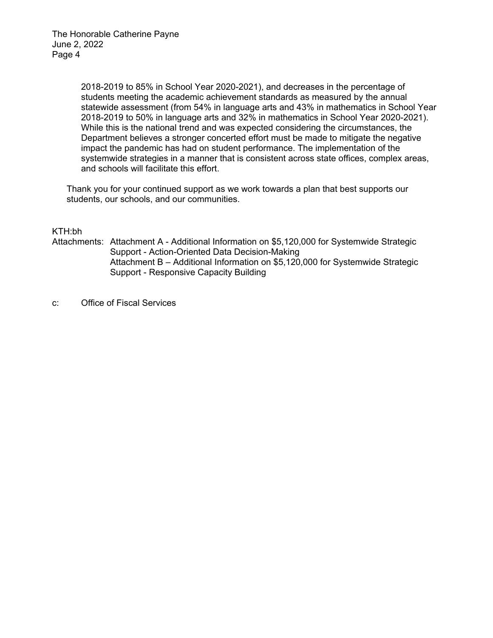2018-2019 to 85% in School Year 2020-2021), and decreases in the percentage of students meeting the academic achievement standards as measured by the annual statewide assessment (from 54% in language arts and 43% in mathematics in School Year 2018-2019 to 50% in language arts and 32% in mathematics in School Year 2020-2021). While this is the national trend and was expected considering the circumstances, the Department believes a stronger concerted effort must be made to mitigate the negative impact the pandemic has had on student performance. The implementation of the systemwide strategies in a manner that is consistent across state offices, complex areas, and schools will facilitate this effort.

Thank you for your continued support as we work towards a plan that best supports our students, our schools, and our communities.

#### KTH:bh

Attachments: Attachment A - Additional Information on \$5,120,000 for Systemwide Strategic Support - Action-Oriented Data Decision-Making Attachment B – Additional Information on \$5,120,000 for Systemwide Strategic Support - Responsive Capacity Building

c: Office of Fiscal Services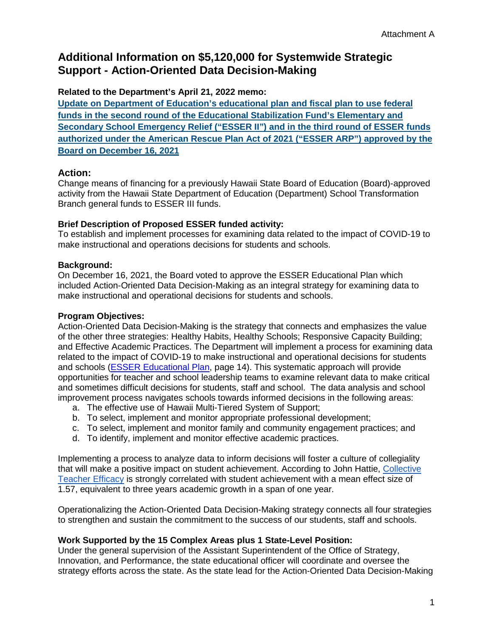# **Additional Information on \$5,120,000 for Systemwide Strategic Support - Action-Oriented Data Decision-Making**

#### **Related to the Department's April 21, 2022 memo:**

**[Update on Department of Education's educational plan and fiscal plan to use federal](https://boe.hawaii.gov/Meetings/Notices/Meeting%20Material%20Library/SAC%20FIC_04212022_Update_Education%20and%20Fiscal%20Plan%20%281%29.pdf)  [funds in the second round of the Educational Stabilization Fund's Elementary and](https://boe.hawaii.gov/Meetings/Notices/Meeting%20Material%20Library/SAC%20FIC_04212022_Update_Education%20and%20Fiscal%20Plan%20%281%29.pdf)  [Secondary School Emergency Relief \("ESSER II"\) and in the third round of ESSER funds](https://boe.hawaii.gov/Meetings/Notices/Meeting%20Material%20Library/SAC%20FIC_04212022_Update_Education%20and%20Fiscal%20Plan%20%281%29.pdf)  [authorized under the American Rescue Plan Act of 2021 \("ESSER ARP"\) approved by the](https://boe.hawaii.gov/Meetings/Notices/Meeting%20Material%20Library/SAC%20FIC_04212022_Update_Education%20and%20Fiscal%20Plan%20%281%29.pdf)  [Board on December 16, 2021](https://boe.hawaii.gov/Meetings/Notices/Meeting%20Material%20Library/SAC%20FIC_04212022_Update_Education%20and%20Fiscal%20Plan%20%281%29.pdf)**

## **Action:**

Change means of financing for a previously Hawaii State Board of Education (Board)-approved activity from the Hawaii State Department of Education (Department) School Transformation Branch general funds to ESSER III funds.

## **Brief Description of Proposed ESSER funded activity:**

To establish and implement processes for examining data related to the impact of COVID-19 to make instructional and operations decisions for students and schools.

## **Background:**

On December 16, 2021, the Board voted to approve the ESSER Educational Plan which included Action-Oriented Data Decision-Making as an integral strategy for examining data to make instructional and operational decisions for students and schools.

## **Program Objectives:**

Action-Oriented Data Decision-Making is the strategy that connects and emphasizes the value of the other three strategies: Healthy Habits, Healthy Schools; Responsive Capacity Building; and Effective Academic Practices. The Department will implement a process for examining data related to the impact of COVID-19 to make instructional and operational decisions for students and schools [\(ESSER Educational Plan,](https://www.hawaiipublicschools.org/DOE%20Forms/ESSER-EducationalPlan.pdf) page 14). This systematic approach will provide opportunities for teacher and school leadership teams to examine relevant data to make critical and sometimes difficult decisions for students, staff and school. The data analysis and school improvement process navigates schools towards informed decisions in the following areas:

- a. The effective use of Hawaii Multi-Tiered System of Support;
- b. To select, implement and monitor appropriate professional development;
- c. To select, implement and monitor family and community engagement practices; and
- d. To identify, implement and monitor effective academic practices.

Implementing a process to analyze data to inform decisions will foster a culture of collegiality that will make a positive impact on student achievement. According to John Hattie, [Collective](https://visible-learning.org/2018/03/collective-teacher-efficacy-hattie/#:%7E:text=Collective%20Teacher%20Efficacy%20is%20the%20collective%20belief%20of,overview%20of%20John%20Hattie%E2%80%99s%20%E2%80%9Cnew%20number%20one%E2%80%9D%20influence.)  [Teacher Efficacy](https://visible-learning.org/2018/03/collective-teacher-efficacy-hattie/#:%7E:text=Collective%20Teacher%20Efficacy%20is%20the%20collective%20belief%20of,overview%20of%20John%20Hattie%E2%80%99s%20%E2%80%9Cnew%20number%20one%E2%80%9D%20influence.) is strongly correlated with student achievement with a mean effect size of 1.57, equivalent to three years academic growth in a span of one year.

Operationalizing the Action-Oriented Data Decision-Making strategy connects all four strategies to strengthen and sustain the commitment to the success of our students, staff and schools.

## **Work Supported by the 15 Complex Areas plus 1 State-Level Position:**

Under the general supervision of the Assistant Superintendent of the Office of Strategy, Innovation, and Performance, the state educational officer will coordinate and oversee the strategy efforts across the state. As the state lead for the Action-Oriented Data Decision-Making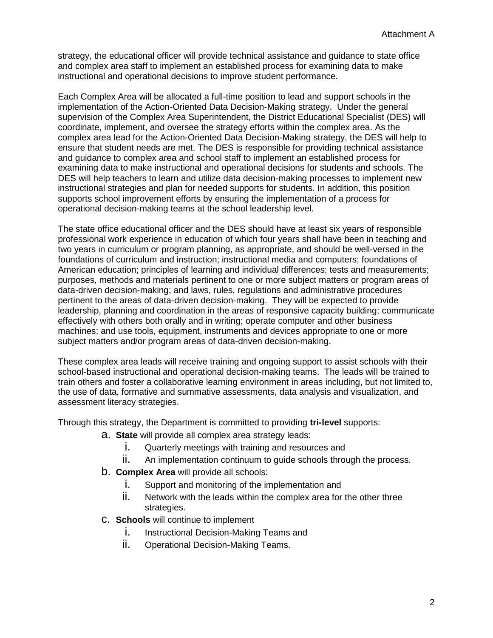strategy, the educational officer will provide technical assistance and guidance to state office and complex area staff to implement an established process for examining data to make instructional and operational decisions to improve student performance.

Each Complex Area will be allocated a full-time position to lead and support schools in the implementation of the Action-Oriented Data Decision-Making strategy. Under the general supervision of the Complex Area Superintendent, the District Educational Specialist (DES) will coordinate, implement, and oversee the strategy efforts within the complex area. As the complex area lead for the Action-Oriented Data Decision-Making strategy, the DES will help to ensure that student needs are met. The DES is responsible for providing technical assistance and guidance to complex area and school staff to implement an established process for examining data to make instructional and operational decisions for students and schools. The DES will help teachers to learn and utilize data decision-making processes to implement new instructional strategies and plan for needed supports for students. In addition, this position supports school improvement efforts by ensuring the implementation of a process for operational decision-making teams at the school leadership level.

The state office educational officer and the DES should have at least six years of responsible professional work experience in education of which four years shall have been in teaching and two years in curriculum or program planning, as appropriate, and should be well-versed in the foundations of curriculum and instruction; instructional media and computers; foundations of American education; principles of learning and individual differences; tests and measurements; purposes, methods and materials pertinent to one or more subject matters or program areas of data-driven decision-making; and laws, rules, regulations and administrative procedures pertinent to the areas of data-driven decision-making. They will be expected to provide leadership, planning and coordination in the areas of responsive capacity building; communicate effectively with others both orally and in writing; operate computer and other business machines; and use tools, equipment, instruments and devices appropriate to one or more subject matters and/or program areas of data-driven decision-making.

These complex area leads will receive training and ongoing support to assist schools with their school-based instructional and operational decision-making teams. The leads will be trained to train others and foster a collaborative learning environment in areas including, but not limited to, the use of data, formative and summative assessments, data analysis and visualization, and assessment literacy strategies.

Through this strategy, the Department is committed to providing **tri-level** supports:

- a. **State** will provide all complex area strategy leads:
	- i. Quarterly meetings with training and resources and
	- ii. An implementation continuum to guide schools through the process.
- b. **Complex Area** will provide all schools:
	- i. Support and monitoring of the implementation and
	- ii. Network with the leads within the complex area for the other three strategies.
- c. **Schools** will continue to implement
	- i. Instructional Decision-Making Teams and
	- ii. Operational Decision-Making Teams.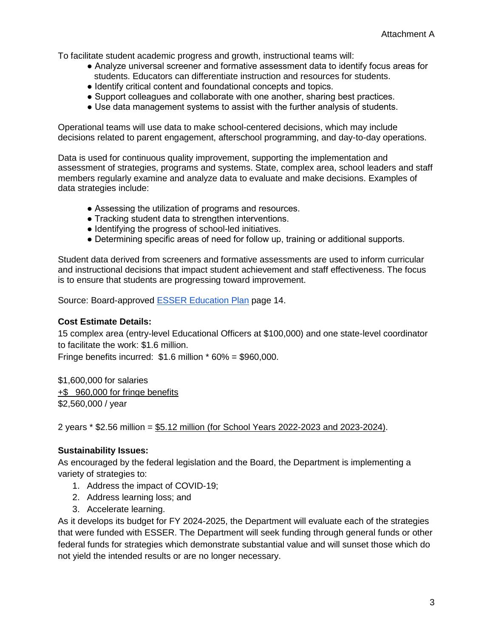To facilitate student academic progress and growth, instructional teams will:

- Analyze universal screener and formative assessment data to identify focus areas for students. Educators can differentiate instruction and resources for students.
- Identify critical content and foundational concepts and topics.
- Support colleagues and collaborate with one another, sharing best practices.
- Use data management systems to assist with the further analysis of students.

Operational teams will use data to make school-centered decisions, which may include decisions related to parent engagement, afterschool programming, and day-to-day operations.

Data is used for continuous quality improvement, supporting the implementation and assessment of strategies, programs and systems. State, complex area, school leaders and staff members regularly examine and analyze data to evaluate and make decisions. Examples of data strategies include:

- Assessing the utilization of programs and resources.
- Tracking student data to strengthen interventions.
- Identifying the progress of school-led initiatives.
- Determining specific areas of need for follow up, training or additional supports.

Student data derived from screeners and formative assessments are used to inform curricular and instructional decisions that impact student achievement and staff effectiveness. The focus is to ensure that students are progressing toward improvement.

Source: Board-approved [ESSER Education Plan](https://www.hawaiipublicschools.org/DOE%20Forms/ESSER-EducationalPlan.pdf) page 14.

#### **Cost Estimate Details:**

15 complex area (entry-level Educational Officers at \$100,000) and one state-level coordinator to facilitate the work: \$1.6 million.

Fringe benefits incurred:  $$1.6$  million  $*$  60% = \$960,000.

\$1,600,000 for salaries +\$ 960,000 for fringe benefits \$2,560,000 / year

2 years \* \$2.56 million = \$5.12 million (for School Years 2022-2023 and 2023-2024).

#### **Sustainability Issues:**

As encouraged by the federal legislation and the Board, the Department is implementing a variety of strategies to:

- 1. Address the impact of COVID-19;
- 2. Address learning loss; and
- 3. Accelerate learning.

As it develops its budget for FY 2024-2025, the Department will evaluate each of the strategies that were funded with ESSER. The Department will seek funding through general funds or other federal funds for strategies which demonstrate substantial value and will sunset those which do not yield the intended results or are no longer necessary.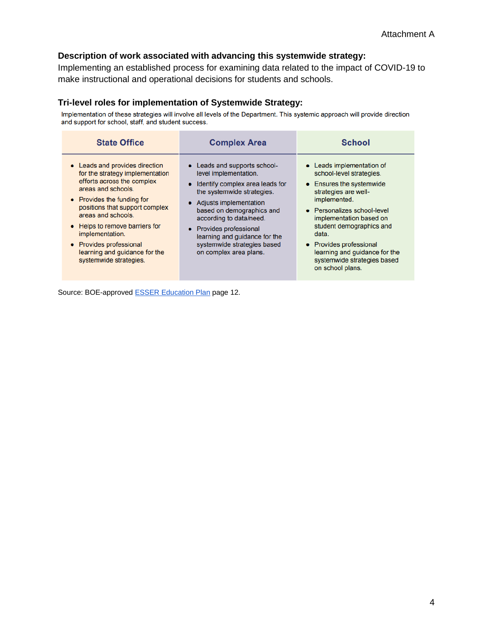## **Description of work associated with advancing this systemwide strategy:**

Implementing an established process for examining data related to the impact of COVID-19 to make instructional and operational decisions for students and schools.

#### **Tri-level roles for implementation of Systemwide Strategy:**

Implementation of these strategies will involve all levels of the Department. This systemic approach will provide direction and support for school, staff, and student success.

| <b>State Office</b>                                                                                                                                                                                                                                                                                                                                    | <b>Complex Area</b>                                                                                                                                                                                                                                                                                                             | <b>School</b>                                                                                                                                                                                                                                                                                                                           |
|--------------------------------------------------------------------------------------------------------------------------------------------------------------------------------------------------------------------------------------------------------------------------------------------------------------------------------------------------------|---------------------------------------------------------------------------------------------------------------------------------------------------------------------------------------------------------------------------------------------------------------------------------------------------------------------------------|-----------------------------------------------------------------------------------------------------------------------------------------------------------------------------------------------------------------------------------------------------------------------------------------------------------------------------------------|
| • Leads and provides direction<br>for the strategy implementation<br>efforts across the complex<br>areas and schools.<br>• Provides the funding for<br>positions that support complex<br>areas and schools.<br>• Helps to remove barriers for<br>implementation.<br>• Provides professional<br>learning and guidance for the<br>systemwide strategies. | • Leads and supports school-<br>level implementation.<br>Identify complex area leads for<br>the systemwide strategies.<br>• Adjusts implementation<br>based on demographics and<br>according to data/need.<br>• Provides professional<br>learning and guidance for the<br>systemwide strategies based<br>on complex area plans. | • Leads implementation of<br>school-level strategies.<br>• Ensures the systemwide<br>strategies are well-<br>implemented.<br>• Personalizes school-level<br>implementation based on<br>student demographics and<br>data.<br>• Provides professional<br>learning and guidance for the<br>systemwide strategies based<br>on school plans. |

Source: BOE-approved **ESSER Education Plan** page 12.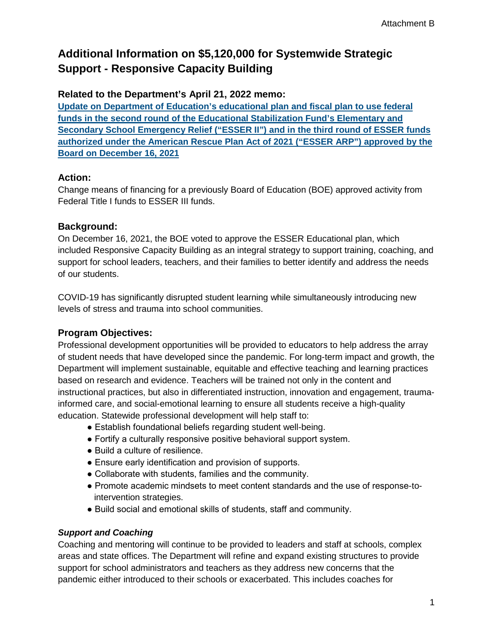# **Additional Information on \$5,120,000 for Systemwide Strategic Support - Responsive Capacity Building**

## **Related to the Department's April 21, 2022 memo:**

**[Update on Department of Education's educational plan and fiscal plan to use federal](https://boe.hawaii.gov/Meetings/Notices/Meeting%20Material%20Library/SAC%20FIC_04212022_Update_Education%20and%20Fiscal%20Plan%20%281%29.pdf)  [funds in the second round of the Educational Stabilization Fund's Elementary and](https://boe.hawaii.gov/Meetings/Notices/Meeting%20Material%20Library/SAC%20FIC_04212022_Update_Education%20and%20Fiscal%20Plan%20%281%29.pdf)  [Secondary School Emergency Relief \("ESSER II"\) and in the third round of ESSER funds](https://boe.hawaii.gov/Meetings/Notices/Meeting%20Material%20Library/SAC%20FIC_04212022_Update_Education%20and%20Fiscal%20Plan%20%281%29.pdf)  [authorized under the American Rescue Plan Act of 2021 \("ESSER ARP"\) approved by the](https://boe.hawaii.gov/Meetings/Notices/Meeting%20Material%20Library/SAC%20FIC_04212022_Update_Education%20and%20Fiscal%20Plan%20%281%29.pdf)  [Board on December 16, 2021](https://boe.hawaii.gov/Meetings/Notices/Meeting%20Material%20Library/SAC%20FIC_04212022_Update_Education%20and%20Fiscal%20Plan%20%281%29.pdf)**

## **Action:**

Change means of financing for a previously Board of Education (BOE) approved activity from Federal Title I funds to ESSER III funds.

## **Background:**

On December 16, 2021, the BOE voted to approve the ESSER Educational plan, which included Responsive Capacity Building as an integral strategy to support training, coaching, and support for school leaders, teachers, and their families to better identify and address the needs of our students.

COVID-19 has significantly disrupted student learning while simultaneously introducing new levels of stress and trauma into school communities.

## **Program Objectives:**

Professional development opportunities will be provided to educators to help address the array of student needs that have developed since the pandemic. For long-term impact and growth, the Department will implement sustainable, equitable and effective teaching and learning practices based on research and evidence. Teachers will be trained not only in the content and instructional practices, but also in differentiated instruction, innovation and engagement, traumainformed care, and social-emotional learning to ensure all students receive a high-quality education. Statewide professional development will help staff to:

- Establish foundational beliefs regarding student well-being.
- Fortify a culturally responsive positive behavioral support system.
- Build a culture of resilience.
- Ensure early identification and provision of supports.
- Collaborate with students, families and the community.
- Promote academic mindsets to meet content standards and the use of response-tointervention strategies.
- Build social and emotional skills of students, staff and community.

## *Support and Coaching*

Coaching and mentoring will continue to be provided to leaders and staff at schools, complex areas and state offices. The Department will refine and expand existing structures to provide support for school administrators and teachers as they address new concerns that the pandemic either introduced to their schools or exacerbated. This includes coaches for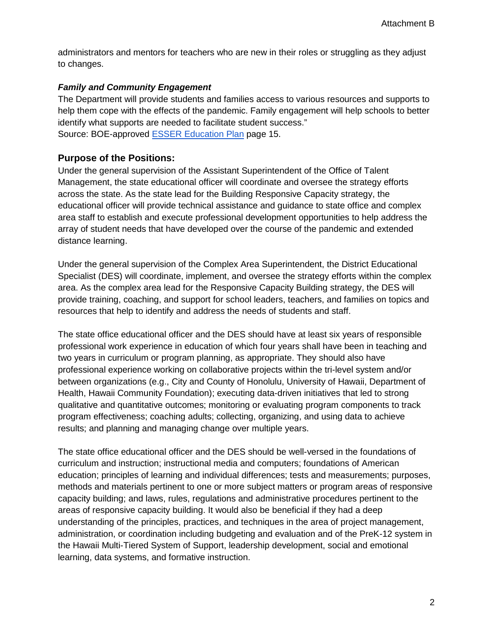administrators and mentors for teachers who are new in their roles or struggling as they adjust to changes.

#### *Family and Community Engagement*

The Department will provide students and families access to various resources and supports to help them cope with the effects of the pandemic. Family engagement will help schools to better identify what supports are needed to facilitate student success." Source: BOE-approved [ESSER Education Plan](https://www.hawaiipublicschools.org/DOE%20Forms/ESSER-EducationalPlan.pdf) page 15.

#### **Purpose of the Positions:**

Under the general supervision of the Assistant Superintendent of the Office of Talent Management, the state educational officer will coordinate and oversee the strategy efforts across the state. As the state lead for the Building Responsive Capacity strategy, the educational officer will provide technical assistance and guidance to state office and complex area staff to establish and execute professional development opportunities to help address the array of student needs that have developed over the course of the pandemic and extended distance learning.

Under the general supervision of the Complex Area Superintendent, the District Educational Specialist (DES) will coordinate, implement, and oversee the strategy efforts within the complex area. As the complex area lead for the Responsive Capacity Building strategy, the DES will provide training, coaching, and support for school leaders, teachers, and families on topics and resources that help to identify and address the needs of students and staff.

The state office educational officer and the DES should have at least six years of responsible professional work experience in education of which four years shall have been in teaching and two years in curriculum or program planning, as appropriate. They should also have professional experience working on collaborative projects within the tri-level system and/or between organizations (e.g., City and County of Honolulu, University of Hawaii, Department of Health, Hawaii Community Foundation); executing data-driven initiatives that led to strong qualitative and quantitative outcomes; monitoring or evaluating program components to track program effectiveness; coaching adults; collecting, organizing, and using data to achieve results; and planning and managing change over multiple years.

The state office educational officer and the DES should be well-versed in the foundations of curriculum and instruction; instructional media and computers; foundations of American education; principles of learning and individual differences; tests and measurements; purposes, methods and materials pertinent to one or more subject matters or program areas of responsive capacity building; and laws, rules, regulations and administrative procedures pertinent to the areas of responsive capacity building. It would also be beneficial if they had a deep understanding of the principles, practices, and techniques in the area of project management, administration, or coordination including budgeting and evaluation and of the PreK-12 system in the Hawaii Multi-Tiered System of Support, leadership development, social and emotional learning, data systems, and formative instruction.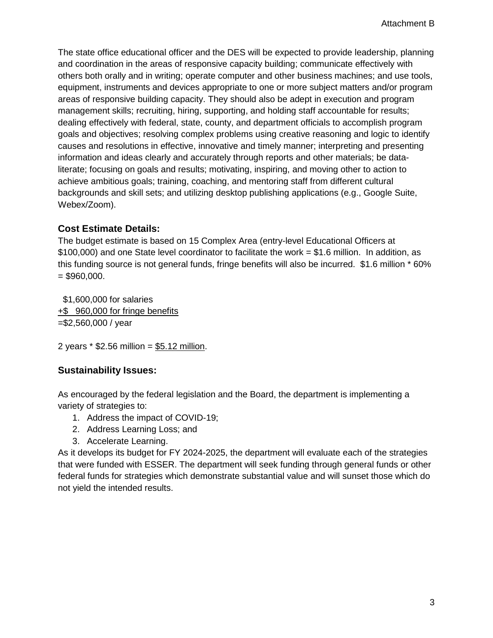The state office educational officer and the DES will be expected to provide leadership, planning and coordination in the areas of responsive capacity building; communicate effectively with others both orally and in writing; operate computer and other business machines; and use tools, equipment, instruments and devices appropriate to one or more subject matters and/or program areas of responsive building capacity. They should also be adept in execution and program management skills; recruiting, hiring, supporting, and holding staff accountable for results; dealing effectively with federal, state, county, and department officials to accomplish program goals and objectives; resolving complex problems using creative reasoning and logic to identify causes and resolutions in effective, innovative and timely manner; interpreting and presenting information and ideas clearly and accurately through reports and other materials; be dataliterate; focusing on goals and results; motivating, inspiring, and moving other to action to achieve ambitious goals; training, coaching, and mentoring staff from different cultural backgrounds and skill sets; and utilizing desktop publishing applications (e.g., Google Suite, Webex/Zoom).

## **Cost Estimate Details:**

The budget estimate is based on 15 Complex Area (entry-level Educational Officers at \$100,000) and one State level coordinator to facilitate the work = \$1.6 million. In addition, as this funding source is not general funds, fringe benefits will also be incurred. \$1.6 million \* 60%  $= $960,000.$ 

 \$1,600,000 for salaries +\$ 960,000 for fringe benefits =\$2,560,000 / year

2 years  $*$  \$2.56 million = \$5.12 million.

## **Sustainability Issues:**

As encouraged by the federal legislation and the Board, the department is implementing a variety of strategies to:

- 1. Address the impact of COVID-19;
- 2. Address Learning Loss; and
- 3. Accelerate Learning.

As it develops its budget for FY 2024-2025, the department will evaluate each of the strategies that were funded with ESSER. The department will seek funding through general funds or other federal funds for strategies which demonstrate substantial value and will sunset those which do not yield the intended results.